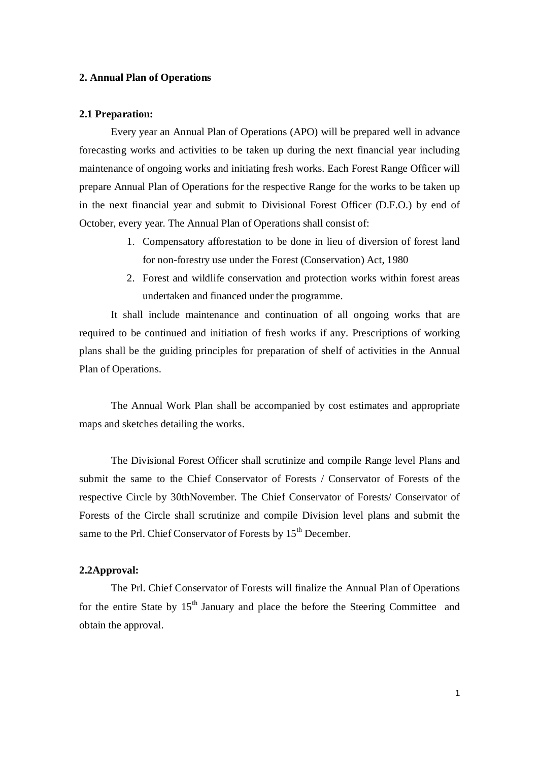### **2. Annual Plan of Operations**

#### **2.1 Preparation:**

Every year an Annual Plan of Operations (APO) will be prepared well in advance forecasting works and activities to be taken up during the next financial year including maintenance of ongoing works and initiating fresh works. Each Forest Range Officer will prepare Annual Plan of Operations for the respective Range for the works to be taken up in the next financial year and submit to Divisional Forest Officer (D.F.O.) by end of October, every year. The Annual Plan of Operations shall consist of:

- 1. Compensatory afforestation to be done in lieu of diversion of forest land for non-forestry use under the Forest (Conservation) Act, 1980
- 2. Forest and wildlife conservation and protection works within forest areas undertaken and financed under the programme.

It shall include maintenance and continuation of all ongoing works that are required to be continued and initiation of fresh works if any. Prescriptions of working plans shall be the guiding principles for preparation of shelf of activities in the Annual Plan of Operations.

The Annual Work Plan shall be accompanied by cost estimates and appropriate maps and sketches detailing the works.

The Divisional Forest Officer shall scrutinize and compile Range level Plans and submit the same to the Chief Conservator of Forests / Conservator of Forests of the respective Circle by 30thNovember. The Chief Conservator of Forests/ Conservator of Forests of the Circle shall scrutinize and compile Division level plans and submit the same to the Prl. Chief Conservator of Forests by  $15<sup>th</sup>$  December.

#### **2.2Approval:**

 The Prl. Chief Conservator of Forests will finalize the Annual Plan of Operations for the entire State by  $15<sup>th</sup>$  January and place the before the Steering Committee and obtain the approval.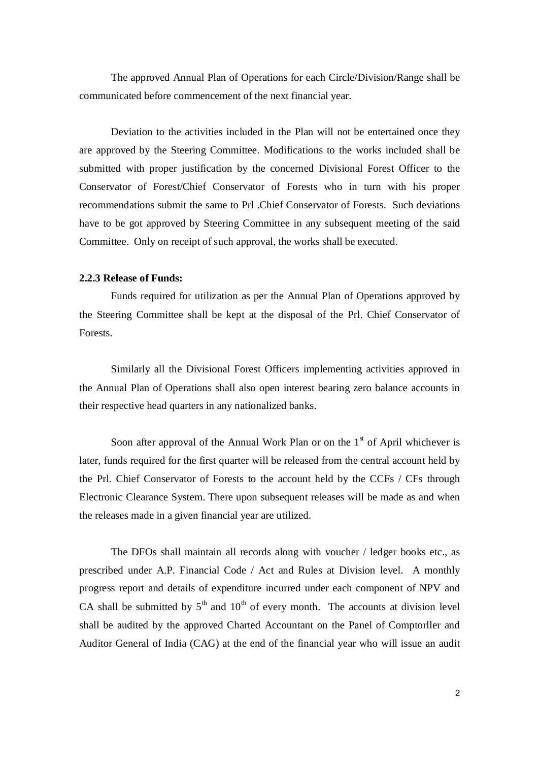The approved Annual Plan of Operations for each Circle/Division/Range shall be communicated before commencement of the next financial year.

Deviation to the activities included in the Plan will not be entertained once they are approved by the Steering Committee. Modifications to the works included shall be submitted with proper justification by the concerned Divisional Forest Officer to the Conservator of Forest/Chief Conservator of Forests who in turn with his proper recommendations submit the same to Prl .Chief Conservator of Forests. Such deviations have to be got approved by Steering Committee in any subsequent meeting of the said Committee. Only on receipt of such approval, the works shall be executed.

## **2.2.3 Release of Funds:**

Funds required for utilization as per the Annual Plan of Operations approved by the Steering Committee shall be kept at the disposal of the Prl. Chief Conservator of Forests.

Similarly all the Divisional Forest Officers implementing activities approved in the Annual Plan of Operations shall also open interest bearing zero balance accounts in their respective head quarters in any nationalized banks.

Soon after approval of the Annual Work Plan or on the  $1<sup>st</sup>$  of April whichever is later, funds required for the first quarter will be released from the central account held by the Prl. Chief Conservator of Forests to the account held by the CCFs / CFs through Electronic Clearance System. There upon subsequent releases will be made as and when the releases made in a given financial year are utilized.

The DFOs shall maintain all records along with voucher / ledger books etc., as prescribed under A.P. Financial Code / Act and Rules at Division level. A monthly progress report and details of expenditure incurred under each component of NPV and CA shall be submitted by  $5<sup>th</sup>$  and  $10<sup>th</sup>$  of every month. The accounts at division level shall be audited by the approved Charted Accountant on the Panel of Comptorller and Auditor General of India (CAG) at the end of the financial year who will issue an audit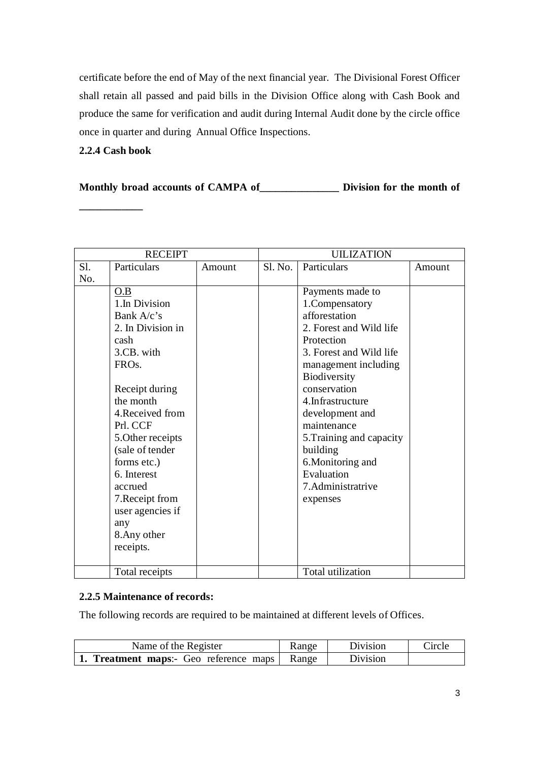certificate before the end of May of the next financial year. The Divisional Forest Officer shall retain all passed and paid bills in the Division Office along with Cash Book and produce the same for verification and audit during Internal Audit done by the circle office once in quarter and during Annual Office Inspections.

## **2.2.4 Cash book**

**\_\_\_\_\_\_\_\_\_\_\_\_**

**Monthly broad accounts of CAMPA of\_\_\_\_\_\_\_\_\_\_\_\_\_\_\_ Division for the month of** 

| <b>RECEIPT</b> |                    | <b>UILIZATION</b> |         |                          |        |
|----------------|--------------------|-------------------|---------|--------------------------|--------|
| S1.            | Particulars        | Amount            | S1. No. | Particulars              | Amount |
| No.            |                    |                   |         |                          |        |
|                | O.B                |                   |         | Payments made to         |        |
|                | 1.In Division      |                   |         | 1. Compensatory          |        |
|                | Bank A/c's         |                   |         | afforestation            |        |
|                | 2. In Division in  |                   |         | 2. Forest and Wild life  |        |
|                | cash               |                   |         | Protection               |        |
|                | 3.CB. with         |                   |         | 3. Forest and Wild life  |        |
|                | FRO <sub>s</sub> . |                   |         | management including     |        |
|                |                    |                   |         | Biodiversity             |        |
|                | Receipt during     |                   |         | conservation             |        |
|                | the month          |                   |         | 4. Infrastructure        |        |
|                | 4. Received from   |                   |         | development and          |        |
|                | Prl. CCF           |                   |         | maintenance              |        |
|                | 5. Other receipts  |                   |         | 5. Training and capacity |        |
|                | (sale of tender    |                   |         | building                 |        |
|                | forms etc.)        |                   |         | 6. Monitoring and        |        |
|                | 6. Interest        |                   |         | Evaluation               |        |
|                | accrued            |                   |         | 7. Administratrive       |        |
|                | 7. Receipt from    |                   |         | expenses                 |        |
|                | user agencies if   |                   |         |                          |        |
|                | any                |                   |         |                          |        |
|                | 8. Any other       |                   |         |                          |        |
|                | receipts.          |                   |         |                          |        |
|                |                    |                   |         |                          |        |
|                | Total receipts     |                   |         | Total utilization        |        |

# **2.2.5 Maintenance of records:**

The following records are required to be maintained at different levels of Offices.

| Name of the Register                                 | Range | Division | Circle |
|------------------------------------------------------|-------|----------|--------|
| <b>1. Treatment maps:</b> Geo reference maps   Range |       | Division |        |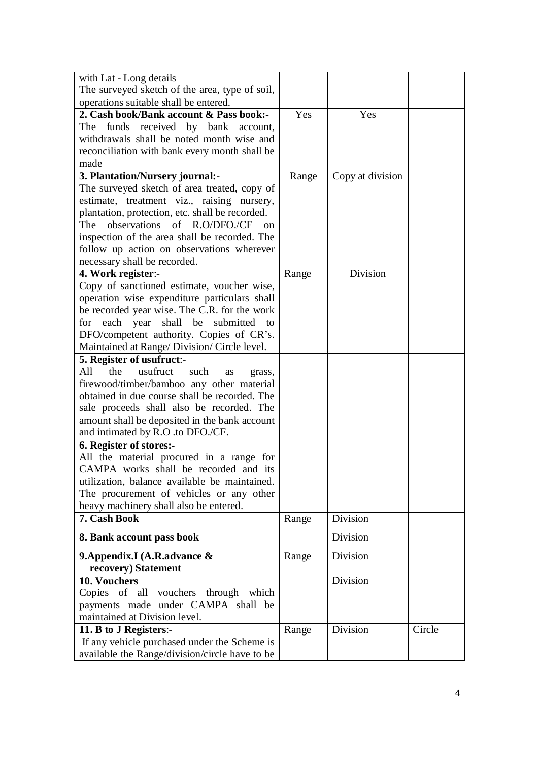| with Lat - Long details                               |       |                  |        |
|-------------------------------------------------------|-------|------------------|--------|
| The surveyed sketch of the area, type of soil,        |       |                  |        |
| operations suitable shall be entered.                 |       |                  |        |
| 2. Cash book/Bank account & Pass book:-               | Yes   | Yes              |        |
| The funds received by bank<br>account,                |       |                  |        |
| withdrawals shall be noted month wise and             |       |                  |        |
| reconciliation with bank every month shall be         |       |                  |        |
| made                                                  |       |                  |        |
|                                                       |       |                  |        |
| 3. Plantation/Nursery journal:-                       | Range | Copy at division |        |
| The surveyed sketch of area treated, copy of          |       |                  |        |
| estimate, treatment viz., raising nursery,            |       |                  |        |
| plantation, protection, etc. shall be recorded.       |       |                  |        |
| observations of R.O/DFO./CF<br>The<br><sub>on</sub>   |       |                  |        |
| inspection of the area shall be recorded. The         |       |                  |        |
| follow up action on observations wherever             |       |                  |        |
| necessary shall be recorded.                          |       |                  |        |
| 4. Work register:-                                    | Range | Division         |        |
| Copy of sanctioned estimate, voucher wise,            |       |                  |        |
| operation wise expenditure particulars shall          |       |                  |        |
| be recorded year wise. The C.R. for the work          |       |                  |        |
| shall<br>submitted<br>each year<br>be<br>for<br>to    |       |                  |        |
| DFO/competent authority. Copies of CR's.              |       |                  |        |
| Maintained at Range/Division/Circle level.            |       |                  |        |
| 5. Register of usufruct:-                             |       |                  |        |
| All<br>the<br>usufruct<br>such<br><b>as</b><br>grass, |       |                  |        |
| firewood/timber/bamboo any other material             |       |                  |        |
| obtained in due course shall be recorded. The         |       |                  |        |
| sale proceeds shall also be recorded. The             |       |                  |        |
| amount shall be deposited in the bank account         |       |                  |        |
| and intimated by R.O .to DFO./CF.                     |       |                  |        |
| 6. Register of stores:-                               |       |                  |        |
| All the material procured in a range for              |       |                  |        |
| CAMPA works shall be recorded and its                 |       |                  |        |
| utilization, balance available be maintained.         |       |                  |        |
| The procurement of vehicles or any other              |       |                  |        |
| heavy machinery shall also be entered.                |       |                  |        |
| 7. Cash Book                                          | Range | Division         |        |
| 8. Bank account pass book                             |       | Division         |        |
| 9. Appendix. I (A.R. advance &                        | Range | Division         |        |
| recovery) Statement                                   |       |                  |        |
| 10. Vouchers                                          |       | Division         |        |
| Copies of all vouchers through which                  |       |                  |        |
| payments made under CAMPA shall be                    |       |                  |        |
| maintained at Division level.                         |       |                  |        |
|                                                       |       | Division         | Circle |
| 11. B to J Registers:-                                | Range |                  |        |
| If any vehicle purchased under the Scheme is          |       |                  |        |
| available the Range/division/circle have to be        |       |                  |        |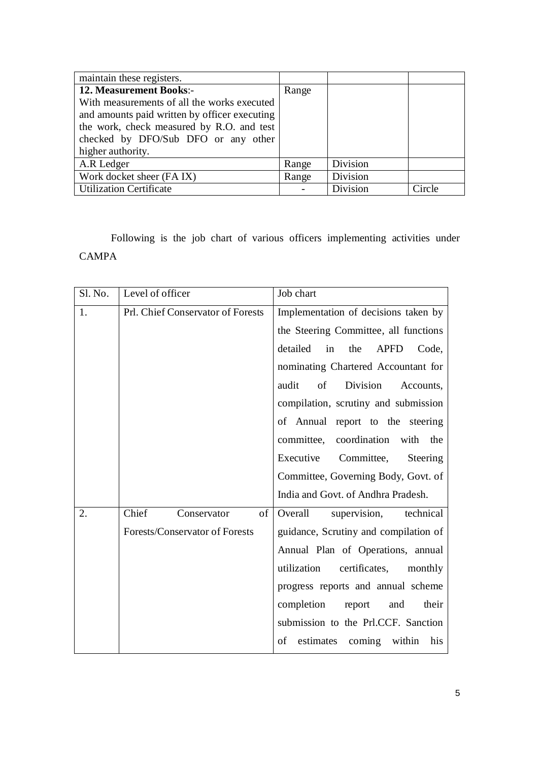| maintain these registers.                     |       |          |        |
|-----------------------------------------------|-------|----------|--------|
| <b>12. Measurement Books:-</b>                | Range |          |        |
| With measurements of all the works executed   |       |          |        |
| and amounts paid written by officer executing |       |          |        |
| the work, check measured by R.O. and test     |       |          |        |
| checked by DFO/Sub DFO or any other           |       |          |        |
| higher authority.                             |       |          |        |
| A.R Ledger                                    | Range | Division |        |
| Work docket sheer (FA IX)                     | Range | Division |        |
| <b>Utilization Certificate</b>                |       | Division | Circle |

Following is the job chart of various officers implementing activities under CAMPA

| Sl. No. | Level of officer                  | Job chart                                     |
|---------|-----------------------------------|-----------------------------------------------|
| 1.      | Prl. Chief Conservator of Forests | Implementation of decisions taken by          |
|         |                                   | the Steering Committee, all functions         |
|         |                                   | detailed<br>the<br><b>APFD</b><br>in<br>Code, |
|         |                                   | nominating Chartered Accountant for           |
|         |                                   | of<br>Division<br>audit<br>Accounts,          |
|         |                                   | compilation, scrutiny and submission          |
|         |                                   | of Annual report to the steering              |
|         |                                   | committee, coordination<br>with<br>the        |
|         |                                   | Executive<br>Committee,<br>Steering           |
|         |                                   | Committee, Governing Body, Govt. of           |
|         |                                   | India and Govt. of Andhra Pradesh.            |
| 2.      | Chief<br>Conservator<br>of        | technical<br>Overall<br>supervision,          |
|         | Forests/Conservator of Forests    | guidance, Scrutiny and compilation of         |
|         |                                   | Annual Plan of Operations, annual             |
|         |                                   | utilization<br>certificates,<br>monthly       |
|         |                                   | progress reports and annual scheme            |
|         |                                   | completion<br>their<br>report<br>and          |
|         |                                   | submission to the Prl.CCF. Sanction           |
|         |                                   | estimates coming within<br>of<br>his          |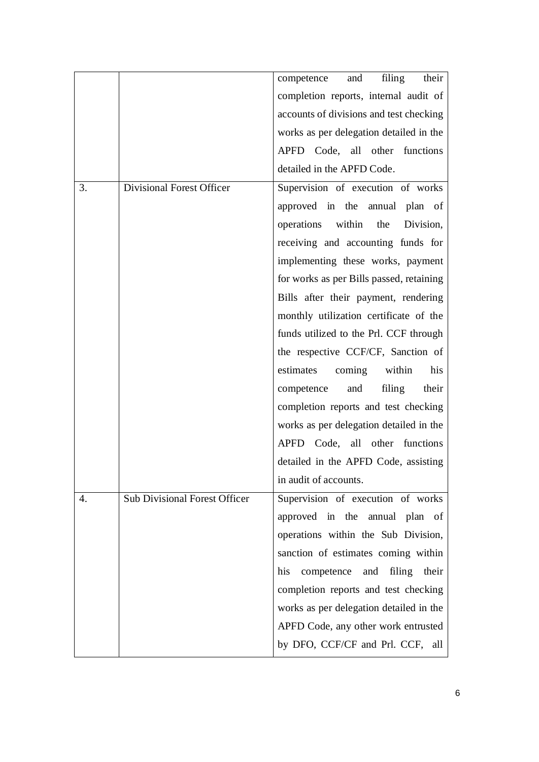|    |                                      | filing<br>and<br>their<br>competence        |
|----|--------------------------------------|---------------------------------------------|
|    |                                      | completion reports, internal audit of       |
|    |                                      | accounts of divisions and test checking     |
|    |                                      | works as per delegation detailed in the     |
|    |                                      | APFD Code, all other functions              |
|    |                                      | detailed in the APFD Code.                  |
| 3. | <b>Divisional Forest Officer</b>     | Supervision of execution of works           |
|    |                                      | approved in the annual plan of              |
|    |                                      | operations within the<br>Division,          |
|    |                                      | receiving and accounting funds for          |
|    |                                      | implementing these works, payment           |
|    |                                      | for works as per Bills passed, retaining    |
|    |                                      | Bills after their payment, rendering        |
|    |                                      | monthly utilization certificate of the      |
|    |                                      | funds utilized to the Prl. CCF through      |
|    |                                      | the respective CCF/CF, Sanction of          |
|    |                                      | within<br>estimates<br>coming<br>his        |
|    |                                      | competence<br>filing<br>their<br>and        |
|    |                                      | completion reports and test checking        |
|    |                                      | works as per delegation detailed in the     |
|    |                                      | APFD Code, all other functions              |
|    |                                      | detailed in the APFD Code, assisting        |
|    |                                      | in audit of accounts.                       |
| 4. | <b>Sub Divisional Forest Officer</b> | Supervision of execution of works           |
|    |                                      | approved in the annual plan of              |
|    |                                      | operations within the Sub Division,         |
|    |                                      | sanction of estimates coming within         |
|    |                                      | their<br>his<br>competence<br>and<br>filing |
|    |                                      | completion reports and test checking        |
|    |                                      | works as per delegation detailed in the     |
|    |                                      | APFD Code, any other work entrusted         |
|    |                                      | by DFO, CCF/CF and Prl. CCF, all            |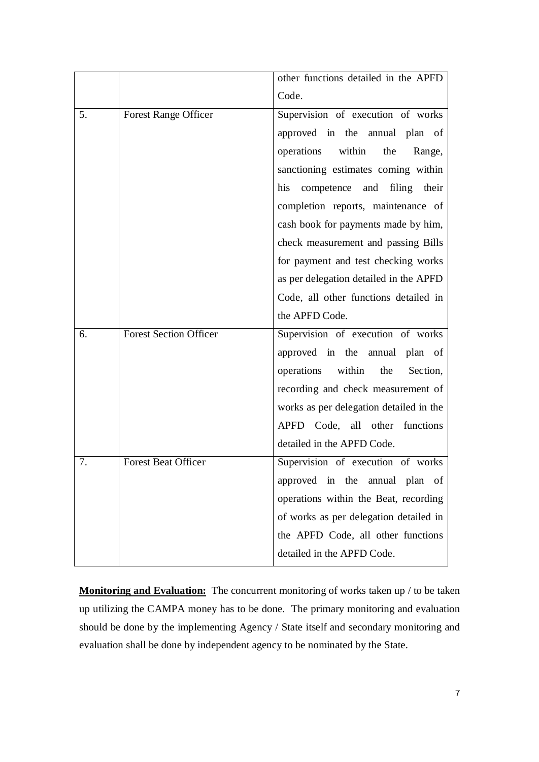|    |                               | other functions detailed in the APFD    |
|----|-------------------------------|-----------------------------------------|
|    |                               | Code.                                   |
| 5. | <b>Forest Range Officer</b>   | Supervision of execution of works       |
|    |                               | approved in the annual plan of          |
|    |                               | operations within<br>the<br>Range,      |
|    |                               | sanctioning estimates coming within     |
|    |                               | competence and filing their<br>his      |
|    |                               | completion reports, maintenance of      |
|    |                               | cash book for payments made by him,     |
|    |                               | check measurement and passing Bills     |
|    |                               | for payment and test checking works     |
|    |                               | as per delegation detailed in the APFD  |
|    |                               | Code, all other functions detailed in   |
|    |                               | the APFD Code.                          |
| 6. | <b>Forest Section Officer</b> | Supervision of execution of works       |
|    |                               | approved in the annual plan of          |
|    |                               | operations within<br>the<br>Section,    |
|    |                               | recording and check measurement of      |
|    |                               | works as per delegation detailed in the |
|    |                               | APFD Code, all other functions          |
|    |                               | detailed in the APFD Code.              |
| 7. | <b>Forest Beat Officer</b>    | Supervision of execution of works       |
|    |                               | approved in the annual plan of          |
|    |                               | operations within the Beat, recording   |
|    |                               | of works as per delegation detailed in  |
|    |                               | the APFD Code, all other functions      |
|    |                               | detailed in the APFD Code.              |

**Monitoring and Evaluation:** The concurrent monitoring of works taken up / to be taken up utilizing the CAMPA money has to be done. The primary monitoring and evaluation should be done by the implementing Agency / State itself and secondary monitoring and evaluation shall be done by independent agency to be nominated by the State.